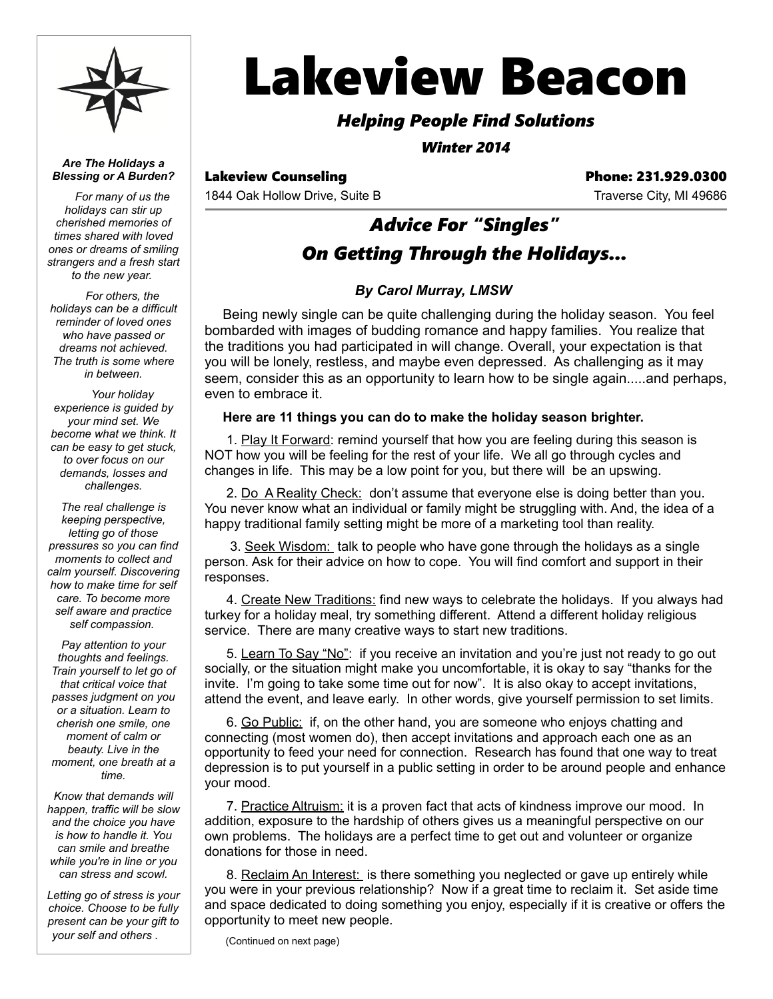

*Are The Holidays a Blessing or A Burden?*

*For many of us the holidays can stir up cherished memories of times shared with loved ones or dreams of smiling strangers and a fresh start to the new year.* 

*For others, the holidays can be a difficult reminder of loved ones who have passed or dreams not achieved. The truth is some where in between.*

*Your holiday experience is guided by your mind set. We become what we think. It can be easy to get stuck, to over focus on our demands, losses and challenges.*

*The real challenge is keeping perspective, letting go of those pressures so you can find moments to collect and calm yourself. Discovering how to make time for self care. To become more self aware and practice self compassion.* 

*Pay attention to your thoughts and feelings. Train yourself to let go of that critical voice that passes judgment on you or a situation. Learn to cherish one smile, one moment of calm or beauty. Live in the moment, one breath at a time.*

*Know that demands will happen, traffic will be slow and the choice you have is how to handle it. You can smile and breathe while you're in line or you can stress and scowl.*

*Letting go of stress is your choice. Choose to be fully present can be your gift to your self and others .* 

# Lakeview Beacon

## *Helping People Find Solutions*

*Winter 2014*

1844 Oak Hollow Drive, Suite B Traverse City, MI 49686

Lakeview Counseling **Phone: 231.929.0300** 

# *Advice For "Singles" On Getting Through the Holidays...*

## *By Carol Murray, LMSW*

Being newly single can be quite challenging during the holiday season. You feel bombarded with images of budding romance and happy families. You realize that the traditions you had participated in will change. Overall, your expectation is that you will be lonely, restless, and maybe even depressed. As challenging as it may seem, consider this as an opportunity to learn how to be single again.....and perhaps, even to embrace it.

#### **Here are 11 things you can do to make the holiday season brighter.**

 1. Play It Forward: remind yourself that how you are feeling during this season is NOT how you will be feeling for the rest of your life. We all go through cycles and changes in life. This may be a low point for you, but there will be an upswing.

2. Do A Reality Check: don't assume that everyone else is doing better than you. You never know what an individual or family might be struggling with. And, the idea of a happy traditional family setting might be more of a marketing tool than reality.

3. Seek Wisdom: talk to people who have gone through the holidays as a single person. Ask for their advice on how to cope. You will find comfort and support in their responses.

 4. Create New Traditions: find new ways to celebrate the holidays. If you always had turkey for a holiday meal, try something different. Attend a different holiday religious service. There are many creative ways to start new traditions.

5. Learn To Say "No": if you receive an invitation and you're just not ready to go out socially, or the situation might make you uncomfortable, it is okay to say "thanks for the invite. I'm going to take some time out for now". It is also okay to accept invitations, attend the event, and leave early. In other words, give yourself permission to set limits.

 6. Go Public: if, on the other hand, you are someone who enjoys chatting and connecting (most women do), then accept invitations and approach each one as an opportunity to feed your need for connection. Research has found that one way to treat depression is to put yourself in a public setting in order to be around people and enhance your mood.

 7. Practice Altruism: it is a proven fact that acts of kindness improve our mood. In addition, exposure to the hardship of others gives us a meaningful perspective on our own problems. The holidays are a perfect time to get out and volunteer or organize donations for those in need.

8. Reclaim An Interest: is there something you neglected or gave up entirely while you were in your previous relationship? Now if a great time to reclaim it. Set aside time and space dedicated to doing something you enjoy, especially if it is creative or offers the opportunity to meet new people.

(Continued on next page)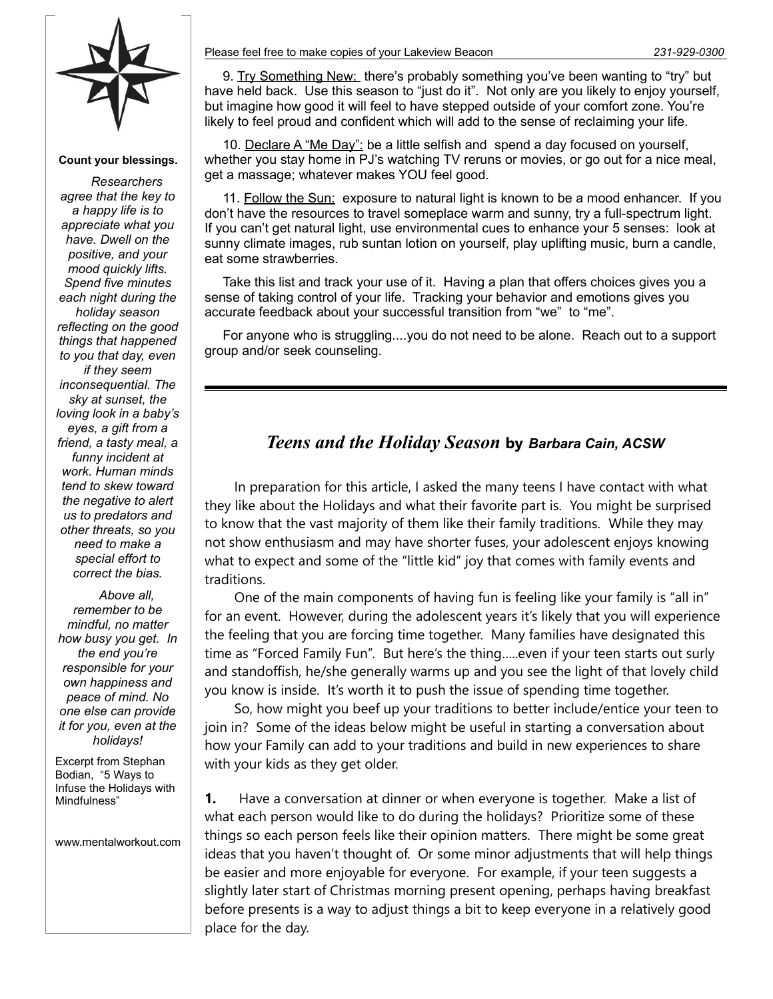

**Count your blessings.**

*Researchers agree that the key to a happy life is to appreciate what you have. Dwell on the positive, and your mood quickly lifts. Spend five minutes each night during the holiday season reflecting on the good things that happened to you that day, even if they seem inconsequential. The sky at sunset, the loving look in a baby's eyes, a gift from a friend, a tasty meal, a funny incident at work. Human minds tend to skew toward the negative to alert us to predators and other threats, so you need to make a special effort to correct the bias.*

*Above all, remember to be mindful, no matter how busy you get. In the end you're responsible for your own happiness and peace of mind. No one else can provide it for you, even at the holidays!*

Excerpt from Stephan Bodian, "5 Ways to Infuse the Holidays with Mindfulness"

www.mentalworkout.com

9. Try Something New: there's probably something you've been wanting to "try" but have held back. Use this season to "just do it". Not only are you likely to enjoy yourself, but imagine how good it will feel to have stepped outside of your comfort zone. You're likely to feel proud and confident which will add to the sense of reclaiming your life.

10. Declare A "Me Day": be a little selfish and spend a day focused on yourself, whether you stay home in PJ's watching TV reruns or movies, or go out for a nice meal, get a massage; whatever makes YOU feel good.

11. Follow the Sun: exposure to natural light is known to be a mood enhancer. If you don't have the resources to travel someplace warm and sunny, try a full-spectrum light. If you can't get natural light, use environmental cues to enhance your 5 senses: look at sunny climate images, rub suntan lotion on yourself, play uplifting music, burn a candle, eat some strawberries.

Take this list and track your use of it. Having a plan that offers choices gives you a sense of taking control of your life. Tracking your behavior and emotions gives you accurate feedback about your successful transition from "we" to "me".

For anyone who is struggling....you do not need to be alone. Reach out to a support group and/or seek counseling.

## *Teens and the Holiday Season* **by** *Barbara Cain, ACSW*

In preparation for this article, I asked the many teens I have contact with what they like about the Holidays and what their favorite part is. You might be surprised to know that the vast majority of them like their family traditions. While they may not show enthusiasm and may have shorter fuses, your adolescent enjoys knowing what to expect and some of the "little kid" joy that comes with family events and traditions.

One of the main components of having fun is feeling like your family is "all in" for an event. However, during the adolescent years it's likely that you will experience the feeling that you are forcing time together. Many families have designated this time as "Forced Family Fun". But here's the thing…..even if your teen starts out surly and standoffish, he/she generally warms up and you see the light of that lovely child you know is inside. It's worth it to push the issue of spending time together.

So, how might you beef up your traditions to better include/entice your teen to join in? Some of the ideas below might be useful in starting a conversation about how your Family can add to your traditions and build in new experiences to share with your kids as they get older.

**1.** Have a conversation at dinner or when everyone is together. Make a list of what each person would like to do during the holidays? Prioritize some of these things so each person feels like their opinion matters. There might be some great ideas that you haven't thought of. Or some minor adjustments that will help things be easier and more enjoyable for everyone. For example, if your teen suggests a slightly later start of Christmas morning present opening, perhaps having breakfast before presents is a way to adjust things a bit to keep everyone in a relatively good place for the day.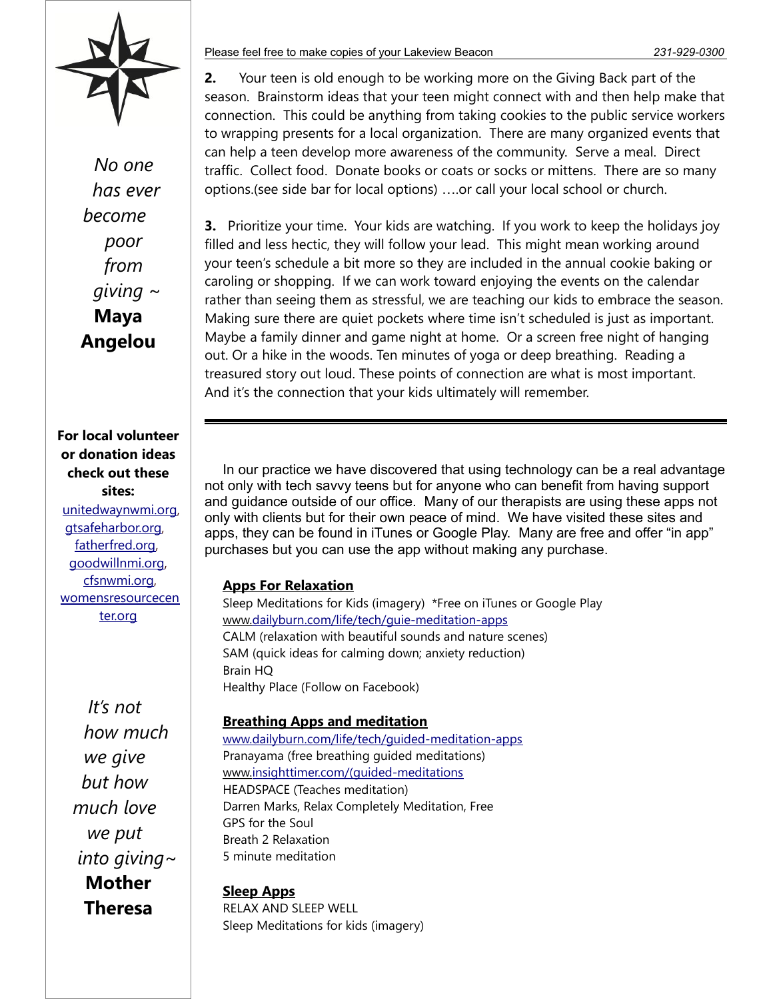

*No one has ever become poor from giving* ~ **Maya Angelou**

**For local volunteer or donation ideas check out these sites:** [unitedwaynwmi.org](http://unitedwaynwmi.org/), [gtsafeharbor.org](http://gtsafeharbor.org/), [fatherfred.org](http://fatherfred.org/), [goodwillnmi.org](http://goodwillnmi.org/), [cfsnwmi.org](http://cfsnwmi.org/), [womensresourcecen](http://womensresourcecenter.org/) [ter.org](http://womensresourcecenter.org/)

> *It's not how much we give but how much love we put into giving*~ **Mother Theresa**

#### Please feel free to make copies of your Lakeview Beacon *231-929-0300*

**2.** Your teen is old enough to be working more on the Giving Back part of the season. Brainstorm ideas that your teen might connect with and then help make that connection. This could be anything from taking cookies to the public service workers to wrapping presents for a local organization. There are many organized events that can help a teen develop more awareness of the community. Serve a meal. Direct traffic. Collect food. Donate books or coats or socks or mittens. There are so many options.(see side bar for local options) ….or call your local school or church.

**3.** Prioritize your time. Your kids are watching. If you work to keep the holidays joy filled and less hectic, they will follow your lead. This might mean working around your teen's schedule a bit more so they are included in the annual cookie baking or caroling or shopping. If we can work toward enjoying the events on the calendar rather than seeing them as stressful, we are teaching our kids to embrace the season. Making sure there are quiet pockets where time isn't scheduled is just as important. Maybe a family dinner and game night at home. Or a screen free night of hanging out. Or a hike in the woods. Ten minutes of yoga or deep breathing. Reading a treasured story out loud. These points of connection are what is most important. And it's the connection that your kids ultimately will remember.

In our practice we have discovered that using technology can be a real advantage not only with tech savvy teens but for anyone who can benefit from having support and guidance outside of our office. Many of our therapists are using these apps not only with clients but for their own peace of mind. We have visited these sites and apps, they can be found in iTunes or Google Play. Many are free and offer "in app" purchases but you can use the app without making any purchase.

#### **Apps For Relaxation**

Sleep Meditations for Kids (imagery) \*Free on iTunes or Google Play www[. dailyburn.com/life/tech/guie-meditation-apps](http://dailyburn.com/life/tech/guie-meditation-apps) CALM (relaxation with beautiful sounds and nature scenes) SAM (quick ideas for calming down; anxiety reduction) Brain HQ Healthy Place (Follow on Facebook)

#### **Breathing Apps and meditation**

[www.dailyburn.com/life/tech/guided-meditation-apps](http://www.dailyburn.com/life/tech/guided-meditation-apps) Pranayama (free breathing guided meditations) www[.insighttimer.com/\(guided-meditations](https://insighttimer.com/(guided-meditations) HEADSPACE (Teaches meditation) Darren Marks, Relax Completely Meditation, Free GPS for the Soul Breath 2 Relaxation 5 minute meditation

**Sleep Apps**

RELAX AND SLEEP WELL Sleep Meditations for kids (imagery)